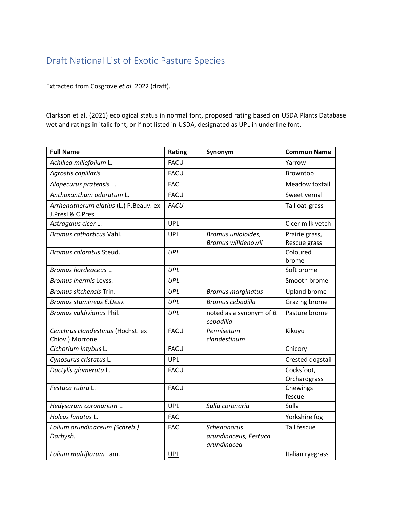## Draft National List of Exotic Pasture Species

Extracted from Cosgrove *et al.* 2022 (draft).

Clarkson et al. (2021) ecological status in normal font, proposed rating based on USDA Plants Database wetland ratings in italic font, or if not listed in USDA, designated as UPL in underline font.

| <b>Full Name</b>                                            | Rating      | Synonym                                             | <b>Common Name</b>             |
|-------------------------------------------------------------|-------------|-----------------------------------------------------|--------------------------------|
| Achillea millefolium L.                                     | <b>FACU</b> |                                                     | Yarrow                         |
| Agrostis capillaris L.                                      | <b>FACU</b> |                                                     | Browntop                       |
| Alopecurus pratensis L.                                     | <b>FAC</b>  |                                                     | Meadow foxtail                 |
| Anthoxanthum odoratum L.                                    | <b>FACU</b> |                                                     | Sweet vernal                   |
| Arrhenatherum elatius (L.) P.Beauv. ex<br>J.Presl & C.Presl | <b>FACU</b> |                                                     | Tall oat-grass                 |
| Astragalus cicer L.                                         | <b>UPL</b>  |                                                     | Cicer milk vetch               |
| Bromus catharticus Vahl.                                    | <b>UPL</b>  | Bromus unioloides,<br>Bromus willdenowii            | Prairie grass,<br>Rescue grass |
| Bromus coloratus Steud.                                     | UPL         |                                                     | Coloured<br>brome              |
| Bromus hordeaceus L.                                        | UPL         |                                                     | Soft brome                     |
| Bromus inermis Leyss.                                       | UPL         |                                                     | Smooth brome                   |
| Bromus sitchensis Trin.                                     | UPL         | <b>Bromus marginatus</b>                            | <b>Upland brome</b>            |
| Bromus stamineus E.Desv.                                    | UPL         | <b>Bromus cebadilla</b>                             | Grazing brome                  |
| Bromus valdivianus Phil.                                    | UPL         | noted as a synonym of B.<br>cebadilla               | Pasture brome                  |
| Cenchrus clandestinus (Hochst. ex<br>Chiov.) Morrone        | <b>FACU</b> | Pennisetum<br>clandestinum                          | Kikuyu                         |
| Cichorium intybus L.                                        | <b>FACU</b> |                                                     | Chicory                        |
| Cynosurus cristatus L.                                      | <b>UPL</b>  |                                                     | Crested dogstail               |
| Dactylis glomerata L.                                       | <b>FACU</b> |                                                     | Cocksfoot,<br>Orchardgrass     |
| Festuca rubra L.                                            | <b>FACU</b> |                                                     | Chewings<br>fescue             |
| Hedysarum coronarium L.                                     | <b>UPL</b>  | Sulla coronaria                                     | Sulla                          |
| Holcus lanatus L.                                           | <b>FAC</b>  |                                                     | Yorkshire fog                  |
| Lolium arundinaceum (Schreb.)<br>Darbysh.                   | <b>FAC</b>  | Schedonorus<br>arundinaceus, Festuca<br>arundinacea | <b>Tall fescue</b>             |
| Lolium multiflorum Lam.                                     | <b>UPL</b>  |                                                     | Italian ryegrass               |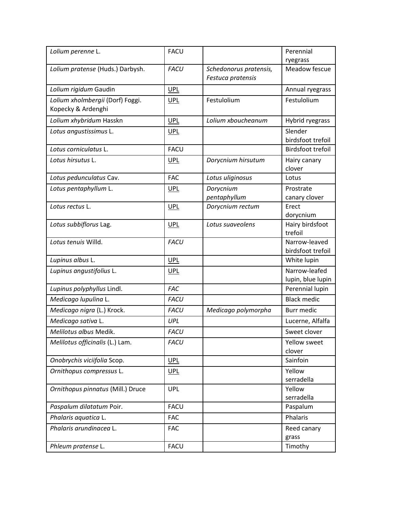| Lolium perenne L.                                      | <b>FACU</b> |                                             | Perennial                          |
|--------------------------------------------------------|-------------|---------------------------------------------|------------------------------------|
|                                                        |             |                                             | ryegrass                           |
| Lolium pratense (Huds.) Darbysh.                       | <b>FACU</b> | Schedonorus pratensis,<br>Festuca pratensis | Meadow fescue                      |
| Lolium rigidum Gaudin                                  | <b>UPL</b>  |                                             | Annual ryegrass                    |
| Lolium xholmbergii (Dorf) Foggi.<br>Kopecky & Ardenghi | <b>UPL</b>  | Festulolium                                 | Festulolium                        |
| Lolium xhybridum Hasskn                                | <b>UPL</b>  | Lolium xboucheanum                          | Hybrid ryegrass                    |
| Lotus angustissimus L.                                 | <b>UPL</b>  |                                             | Slender<br>birdsfoot trefoil       |
| Lotus corniculatus L.                                  | <b>FACU</b> |                                             | <b>Birdsfoot trefoil</b>           |
| Lotus hirsutus L.                                      | <b>UPL</b>  | Dorycnium hirsutum                          | Hairy canary<br>clover             |
| Lotus pedunculatus Cav.                                | <b>FAC</b>  | Lotus uliginosus                            | Lotus                              |
| Lotus pentaphyllum L.                                  | <b>UPL</b>  | Dorycnium<br>pentaphyllum                   | Prostrate<br>canary clover         |
| Lotus rectus L.                                        | <b>UPL</b>  | Dorycnium rectum                            | Erect<br>dorycnium                 |
| Lotus subbiflorus Lag.                                 | <b>UPL</b>  | Lotus suaveolens                            | Hairy birdsfoot<br>trefoil         |
| Lotus tenuis Willd.                                    | <b>FACU</b> |                                             | Narrow-leaved<br>birdsfoot trefoil |
| Lupinus albus L.                                       | <b>UPL</b>  |                                             | White lupin                        |
| Lupinus angustifolius L.                               | <b>UPL</b>  |                                             | Narrow-leafed<br>lupin, blue lupin |
| Lupinus polyphyllus Lindl.                             | <b>FAC</b>  |                                             | Perennial lupin                    |
| Medicago lupulina L.                                   | <b>FACU</b> |                                             | <b>Black medic</b>                 |
| Medicago nigra (L.) Krock.                             | <b>FACU</b> | Medicago polymorpha                         | <b>Burr medic</b>                  |
| Medicago sativa L.                                     | UPL         |                                             | Lucerne, Alfalfa                   |
| Melilotus albus Medik.                                 | <b>FACU</b> |                                             | Sweet clover                       |
| Melilotus officinalis (L.) Lam.                        | <b>FACU</b> |                                             | Yellow sweet<br>clover             |
| Onobrychis viciifolia Scop.                            | <u>UPL</u>  |                                             | Sainfoin                           |
| Ornithopus compressus L.                               | <b>UPL</b>  |                                             | Yellow<br>serradella               |
| Ornithopus pinnatus (Mill.) Druce                      | <b>UPL</b>  |                                             | Yellow<br>serradella               |
| Paspalum dilatatum Poir.                               | <b>FACU</b> |                                             | Paspalum                           |
| Phalaris aquatica L.                                   | <b>FAC</b>  |                                             | Phalaris                           |
| Phalaris arundinacea L.                                | <b>FAC</b>  |                                             | Reed canary<br>grass               |
| Phleum pratense L.                                     | <b>FACU</b> |                                             | Timothy                            |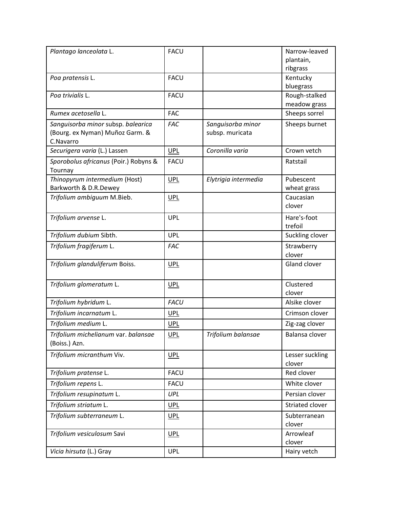| Plantago lanceolata L.                                                             | <b>FACU</b> |                                      | Narrow-leaved<br>plantain,<br>ribgrass |
|------------------------------------------------------------------------------------|-------------|--------------------------------------|----------------------------------------|
| Poa pratensis L.                                                                   | <b>FACU</b> |                                      | Kentucky<br>bluegrass                  |
| Poa trivialis L.                                                                   | <b>FACU</b> |                                      | Rough-stalked<br>meadow grass          |
| Rumex acetosella L.                                                                | <b>FAC</b>  |                                      | Sheeps sorrel                          |
| Sanguisorba minor subsp. balearica<br>(Bourg. ex Nyman) Muñoz Garm. &<br>C.Navarro | <b>FAC</b>  | Sanguisorba minor<br>subsp. muricata | Sheeps burnet                          |
| Securigera varia (L.) Lassen                                                       | <b>UPL</b>  | Coronilla varia                      | Crown vetch                            |
| Sporobolus africanus (Poir.) Robyns &<br>Tournay                                   | <b>FACU</b> |                                      | Ratstail                               |
| Thinopyrum intermedium (Host)<br>Barkworth & D.R.Dewey                             | <b>UPL</b>  | Elytrigia intermedia                 | Pubescent<br>wheat grass               |
| Trifolium ambiguum M.Bieb.                                                         | <u>UPL</u>  |                                      | Caucasian<br>clover                    |
| Trifolium arvense L.                                                               | <b>UPL</b>  |                                      | Hare's-foot<br>trefoil                 |
| Trifolium dubium Sibth.                                                            | <b>UPL</b>  |                                      | Suckling clover                        |
| Trifolium fragiferum L.                                                            | <b>FAC</b>  |                                      | Strawberry<br>clover                   |
| Trifolium glanduliferum Boiss.                                                     | <b>UPL</b>  |                                      | Gland clover                           |
| Trifolium glomeratum L.                                                            | <b>UPL</b>  |                                      | Clustered<br>clover                    |
| Trifolium hybridum L.                                                              | <b>FACU</b> |                                      | Alsike clover                          |
| Trifolium incarnatum L.                                                            | <b>UPL</b>  |                                      | Crimson clover                         |
| Trifolium medium L.                                                                | <b>UPL</b>  |                                      | Zig-zag clover                         |
| Trifolium michelianum var. balansae<br>(Boiss.) Azn.                               | $UPL$       | Trifolium balansae                   | Balansa clover                         |
| Trifolium micranthum Viv.                                                          | <b>UPL</b>  |                                      | Lesser suckling<br>clover              |
| Trifolium pratense L.                                                              | <b>FACU</b> |                                      | Red clover                             |
| Trifolium repens L.                                                                | <b>FACU</b> |                                      | White clover                           |
| Trifolium resupinatum L.                                                           | <b>UPL</b>  |                                      | Persian clover                         |
| Trifolium striatum L.                                                              | UPL         |                                      | Striated clover                        |
| Trifolium subterraneum L.                                                          | <u>UPL</u>  |                                      | Subterranean<br>clover                 |
| Trifolium vesiculosum Savi                                                         | <b>UPL</b>  |                                      | Arrowleaf<br>clover                    |
| Vicia hirsuta (L.) Gray                                                            | <b>UPL</b>  |                                      | Hairy vetch                            |